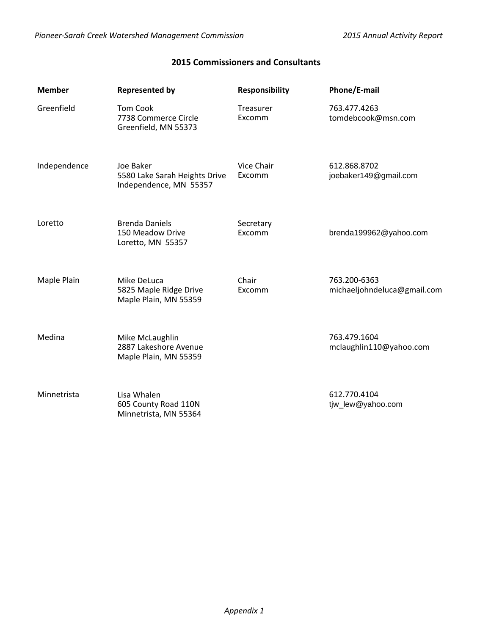## **2015 Commissioners and Consultants**

| <b>Member</b> | <b>Represented by</b>                                                | <b>Responsibility</b> | Phone/E-mail                                |
|---------------|----------------------------------------------------------------------|-----------------------|---------------------------------------------|
| Greenfield    | <b>Tom Cook</b><br>7738 Commerce Circle<br>Greenfield, MN 55373      | Treasurer<br>Excomm   | 763.477.4263<br>tomdebcook@msn.com          |
| Independence  | Joe Baker<br>5580 Lake Sarah Heights Drive<br>Independence, MN 55357 | Vice Chair<br>Excomm  | 612.868.8702<br>joebaker149@gmail.com       |
| Loretto       | <b>Brenda Daniels</b><br>150 Meadow Drive<br>Loretto, MN 55357       | Secretary<br>Excomm   | brenda199962@yahoo.com                      |
| Maple Plain   | Mike DeLuca<br>5825 Maple Ridge Drive<br>Maple Plain, MN 55359       | Chair<br>Excomm       | 763.200-6363<br>michaeljohndeluca@gmail.com |
| Medina        | Mike McLaughlin<br>2887 Lakeshore Avenue<br>Maple Plain, MN 55359    |                       | 763.479.1604<br>mclaughlin110@yahoo.com     |
| Minnetrista   | Lisa Whalen<br>605 County Road 110N<br>Minnetrista, MN 55364         |                       | 612.770.4104<br>tjw_lew@yahoo.com           |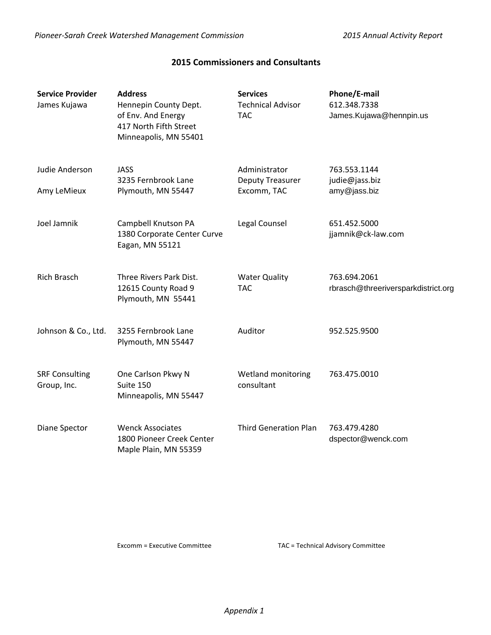## **2015 Commissioners and Consultants**

| <b>Service Provider</b><br>James Kujawa | <b>Address</b><br>Hennepin County Dept.<br>of Env. And Energy<br>417 North Fifth Street<br>Minneapolis, MN 55401 | <b>Services</b><br><b>Technical Advisor</b><br><b>TAC</b> | Phone/E-mail<br>612.348.7338<br>James.Kujawa@hennpin.us |
|-----------------------------------------|------------------------------------------------------------------------------------------------------------------|-----------------------------------------------------------|---------------------------------------------------------|
| Judie Anderson                          | <b>JASS</b><br>3235 Fernbrook Lane                                                                               | Administrator<br>Deputy Treasurer                         | 763.553.1144<br>judie@jass.biz                          |
| Amy LeMieux                             | Plymouth, MN 55447                                                                                               | Excomm, TAC                                               | amy@jass.biz                                            |
| Joel Jamnik                             | Campbell Knutson PA<br>1380 Corporate Center Curve<br>Eagan, MN 55121                                            | Legal Counsel                                             | 651.452.5000<br>jjamnik@ck-law.com                      |
| <b>Rich Brasch</b>                      | Three Rivers Park Dist.<br>12615 County Road 9<br>Plymouth, MN 55441                                             | <b>Water Quality</b><br><b>TAC</b>                        | 763.694.2061<br>rbrasch@threeriversparkdistrict.org     |
| Johnson & Co., Ltd.                     | 3255 Fernbrook Lane<br>Plymouth, MN 55447                                                                        | Auditor                                                   | 952.525.9500                                            |
| <b>SRF Consulting</b><br>Group, Inc.    | One Carlson Pkwy N<br>Suite 150<br>Minneapolis, MN 55447                                                         | Wetland monitoring<br>consultant                          | 763.475.0010                                            |
| Diane Spector                           | <b>Wenck Associates</b><br>1800 Pioneer Creek Center<br>Maple Plain, MN 55359                                    | <b>Third Generation Plan</b>                              | 763.479.4280<br>dspector@wenck.com                      |

Excomm = Executive Committee TAC = Technical Advisory Committee